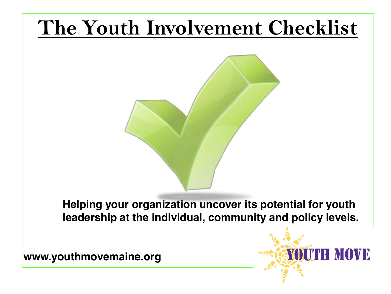# **The Youth Involvement Checklist**



**Helping your organization uncover its potential for youth leadership at the individual, community and policy levels.**

**www.youthmovemaine.org**

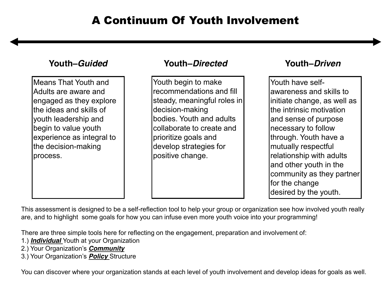Means That Youth and Adults are aware and engaged as they explore the ideas and skills of youth leadership and begin to value youth experience as integral to the decision-making process.

#### **Youth±***Guided* **Youth±***Directed* **Youth±***Driven*

Youth begin to make recommendations and fill steady, meaningful roles in decision-making bodies. Youth and adults collaborate to create and prioritize goals and develop strategies for positive change.

Youth have selfawareness and skills to initiate change, as well as the intrinsic motivation and sense of purpose necessary to follow through. Youth have a mutually respectful relationship with adults and other youth in the community as they partner for the change desired by the youth.

This assessment is designed to be a self-reflection tool to help your group or organization see how involved youth really are, and to highlight some goals for how you can infuse even more youth voice into your programming!

There are three simple tools here for reflecting on the engagement, preparation and involvement of:

- 1.) *Individual* Youth at your Organization
- 2.) Your Organization's **Community**
- 3.) Your Organization's **Policy** Structure

You can discover where your organization stands at each level of youth involvement and develop ideas for goals as well.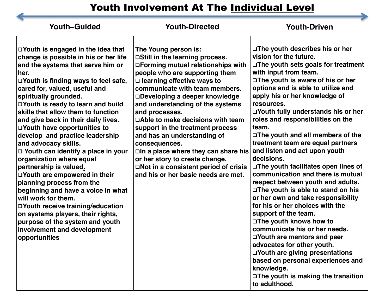# Youth Involvement At The Individual Level

| <b>Youth-Guided</b>                                                                                                                                                                                                                                                                                                                                                                                                                                                                                                                                                                                                                                                                                                                                                                                                                  | <b>Youth-Directed</b>                                                                                                                                                                                                                                                                                                                                                                                                                                                                                                                                                                                           | <b>Youth-Driven</b>                                                                                                                                                                                                                                                                                                                                                                                                                                                                                                                                                                                                                                                                                                                                                                                                                                                                                                                                |
|--------------------------------------------------------------------------------------------------------------------------------------------------------------------------------------------------------------------------------------------------------------------------------------------------------------------------------------------------------------------------------------------------------------------------------------------------------------------------------------------------------------------------------------------------------------------------------------------------------------------------------------------------------------------------------------------------------------------------------------------------------------------------------------------------------------------------------------|-----------------------------------------------------------------------------------------------------------------------------------------------------------------------------------------------------------------------------------------------------------------------------------------------------------------------------------------------------------------------------------------------------------------------------------------------------------------------------------------------------------------------------------------------------------------------------------------------------------------|----------------------------------------------------------------------------------------------------------------------------------------------------------------------------------------------------------------------------------------------------------------------------------------------------------------------------------------------------------------------------------------------------------------------------------------------------------------------------------------------------------------------------------------------------------------------------------------------------------------------------------------------------------------------------------------------------------------------------------------------------------------------------------------------------------------------------------------------------------------------------------------------------------------------------------------------------|
| $\Box$ Youth is engaged in the idea that<br>change is possible in his or her life<br>and the systems that serve him or<br>her.<br>□Youth is finding ways to feel safe,<br>cared for, valued, useful and<br>spiritually grounded.<br>□Youth is ready to learn and build<br>skills that allow them to function<br>and give back in their daily lives.<br>□Youth have opportunities to<br>develop and practice leadership<br>and advocacy skills.<br>□ Youth can identify a place in your<br>organization where equal<br>partnership is valued.<br>□Youth are empowered in their<br>planning process from the<br>beginning and have a voice in what<br>will work for them.<br>□Youth receive training/education<br>on systems players, their rights,<br>purpose of the system and youth<br>involvement and development<br>opportunities | The Young person is:<br>□Still in the learning process.<br>□Forming mutual relationships with<br>people who are supporting them<br>$\Box$ learning effective ways to<br>communicate with team members.<br>□Developing a deeper knowledge<br>and understanding of the systems<br>and processes.<br>□Able to make decisions with team<br>support in the treatment process<br>and has an understanding of<br>consequences.<br>□In a place where they can share his and listen and act upon youth<br>or her story to create change.<br>□Not in a consistent period of crisis<br>and his or her basic needs are met. | □The youth describes his or her<br>vision for the future.<br>□The youth sets goals for treatment<br>with input from team.<br>□ The youth is aware of his or her<br>options and is able to utilize and<br>apply his or her knowledge of<br>resources.<br>□Youth fully understands his or her<br>roles and responsibilities on the<br>team.<br>□ The youth and all members of the<br>treatment team are equal partners<br>decisions.<br>□ The youth facilitates open lines of<br>communication and there is mutual<br>respect between youth and adults.<br>□The youth is able to stand on his<br>or her own and take responsibility<br>for his or her choices with the<br>support of the team.<br>□The youth knows how to<br>communicate his or her needs.<br>□Youth are mentors and peer<br>advocates for other youth.<br>□Youth are giving presentations<br>based on personal experiences and<br>knowledge.<br>□The youth is making the transition |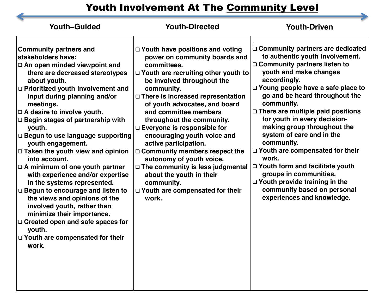## Youth Involvement At The Community Level

| □ Community partners are dedicated<br><b>Community partners and</b><br>□ Youth have positions and voting<br>to authentic youth involvement.<br>stakeholders have:<br>power on community boards and<br>□ Community partners listen to<br>□ An open minded viewpoint and<br>committees.<br>youth and make changes<br>there are decreased stereotypes<br>$\Box$ Youth are recruiting other youth to<br>accordingly.<br>be involved throughout the<br>about youth.<br>□ Young people have a safe place to<br>□ Prioritized youth involvement and<br>community.<br>go and be heard throughout the<br>input during planning and/or<br>□ There is increased representation<br>community.<br>of youth advocates, and board<br>meetings.<br>□ There are multiple paid positions<br>$\Box$ A desire to involve youth.<br>and committee members<br>for youth in every decision-<br>□ Begin stages of partnership with<br>throughout the community.<br>making group throughout the<br>$\Box$ Everyone is responsible for<br>youth.<br>system of care and in the<br>□ Begun to use language supporting<br>encouraging youth voice and<br>community.<br>active participation.<br>youth engagement.<br>□ Youth are compensated for their<br>□ Community members respect the<br>$\Box$ Taken the youth view and opinion<br>work.<br>into account.<br>autonomy of youth voice.<br>□ Youth form and facilitate youth<br>□ The community is less judgmental<br>$\Box$ A minimum of one youth partner<br>groups in communities.<br>with experience and/or expertise<br>about the youth in their | <b>Youth-Guided</b>         | <b>Youth-Directed</b> | <b>Youth-Driven</b>                  |
|-----------------------------------------------------------------------------------------------------------------------------------------------------------------------------------------------------------------------------------------------------------------------------------------------------------------------------------------------------------------------------------------------------------------------------------------------------------------------------------------------------------------------------------------------------------------------------------------------------------------------------------------------------------------------------------------------------------------------------------------------------------------------------------------------------------------------------------------------------------------------------------------------------------------------------------------------------------------------------------------------------------------------------------------------------------------------------------------------------------------------------------------------------------------------------------------------------------------------------------------------------------------------------------------------------------------------------------------------------------------------------------------------------------------------------------------------------------------------------------------------------------------------------------------------------------------------------|-----------------------------|-----------------------|--------------------------------------|
| community based on personal<br>□ Begun to encourage and listen to<br>□ Youth are compensated for their<br>experiences and knowledge.<br>the views and opinions of the<br>work.<br>involved youth, rather than<br>minimize their importance.<br>□ Created open and safe spaces for<br>youth.<br>□ Youth are compensated for their<br>work.                                                                                                                                                                                                                                                                                                                                                                                                                                                                                                                                                                                                                                                                                                                                                                                                                                                                                                                                                                                                                                                                                                                                                                                                                                   | in the systems represented. | community.            | $\Box$ Youth provide training in the |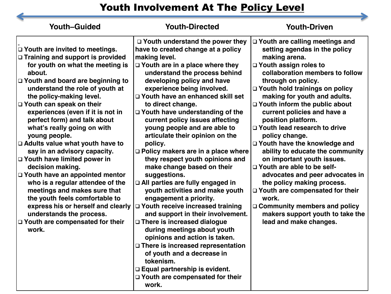## Youth Involvement At The Policy Level

| <b>Youth-Guided</b>                                                                                                                                                                                                                                                                                                                                                                                                                                                                                                                                                                                                                                                                                                                                                   | <b>Youth-Directed</b>                                                                                                                                                                                                                                                                                                                                                                                                                                                                                                                                                                                                                                                                                                                                                                                                                                                                                                                                                                                                                 | <b>Youth-Driven</b>                                                                                                                                                                                                                                                                                                                                                                                                                                                                                                                                                                                                                                                                                                                            |
|-----------------------------------------------------------------------------------------------------------------------------------------------------------------------------------------------------------------------------------------------------------------------------------------------------------------------------------------------------------------------------------------------------------------------------------------------------------------------------------------------------------------------------------------------------------------------------------------------------------------------------------------------------------------------------------------------------------------------------------------------------------------------|---------------------------------------------------------------------------------------------------------------------------------------------------------------------------------------------------------------------------------------------------------------------------------------------------------------------------------------------------------------------------------------------------------------------------------------------------------------------------------------------------------------------------------------------------------------------------------------------------------------------------------------------------------------------------------------------------------------------------------------------------------------------------------------------------------------------------------------------------------------------------------------------------------------------------------------------------------------------------------------------------------------------------------------|------------------------------------------------------------------------------------------------------------------------------------------------------------------------------------------------------------------------------------------------------------------------------------------------------------------------------------------------------------------------------------------------------------------------------------------------------------------------------------------------------------------------------------------------------------------------------------------------------------------------------------------------------------------------------------------------------------------------------------------------|
| $\Box$ Youth are invited to meetings.<br>□ Training and support is provided<br>for youth on what the meeting is<br>about.<br>□ Youth and board are beginning to<br>understand the role of youth at<br>the policy-making level.<br>□ Youth can speak on their<br>experiences (even if it is not in<br>perfect form) and talk about<br>what's really going on with<br>young people.<br>□ Adults value what youth have to<br>say in an advisory capacity.<br>D Youth have limited power in<br>decision making.<br>□ Youth have an appointed mentor<br>who is a regular attendee of the<br>meetings and makes sure that<br>the youth feels comfortable to<br>express his or herself and clearly<br>understands the process.<br>□ Youth are compensated for their<br>work. | $\Box$ Youth understand the power they<br>have to created change at a policy<br>making level.<br>$\Box$ Youth are in a place where they<br>understand the process behind<br>developing policy and have<br>experience being involved.<br>□ Youth have an enhanced skill set<br>to direct change.<br>□ Youth have understanding of the<br>current policy issues affecting<br>young people and are able to<br>articulate their opinion on the<br>policy.<br>$\Box$ Policy makers are in a place where<br>they respect youth opinions and<br>make change based on their<br>suggestions.<br>□ All parties are fully engaged in<br>youth activities and make youth<br>engagement a priority.<br>□ Youth receive increased training<br>and support in their involvement.<br>□ There is increased dialogue<br>during meetings about youth<br>opinions and action is taken.<br>□ There is increased representation<br>of youth and a decrease in<br>tokenism.<br>□ Equal partnership is evident.<br>□ Youth are compensated for their<br>work. | □ Youth are calling meetings and<br>setting agendas in the policy<br>making arena.<br>□ Youth assign roles to<br>collaboration members to follow<br>through on policy.<br>□ Youth hold trainings on policy<br>making for youth and adults.<br>□ Youth inform the public about<br>current policies and have a<br>position platform.<br>□ Youth lead research to drive<br>policy change.<br>□ Youth have the knowledge and<br>ability to educate the community<br>on important youth issues.<br>□ Youth are able to be self-<br>advocates and peer advocates in<br>the policy making process.<br>□ Youth are compensated for their<br>work.<br>$\Box$ Community members and policy<br>makers support youth to take the<br>lead and make changes. |